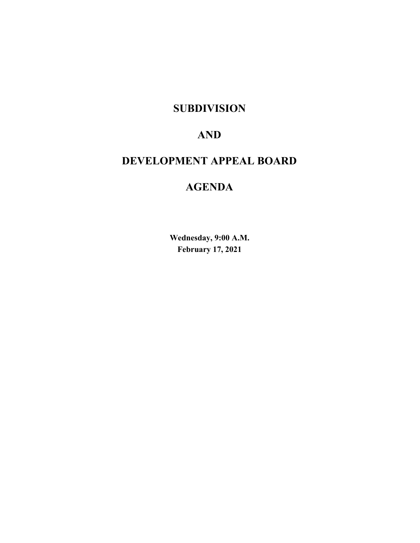## **SUBDIVISION**

# **AND**

# **DEVELOPMENT APPEAL BOARD**

# **AGENDA**

**Wednesday, 9:00 A.M. February 17, 2021**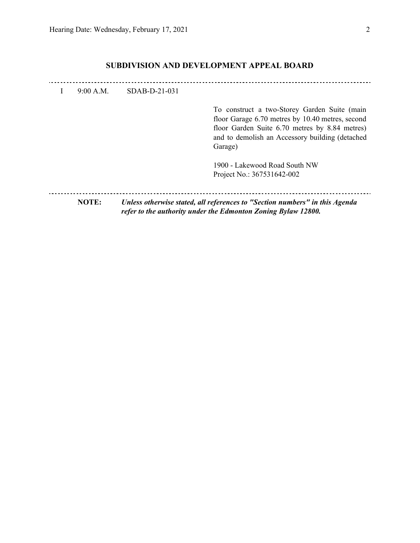## **SUBDIVISION AND DEVELOPMENT APPEAL BOARD**

| I. | 9:00 A.M.    | SDAB-D-21-031 |                                                                                                                                                                                                                  |
|----|--------------|---------------|------------------------------------------------------------------------------------------------------------------------------------------------------------------------------------------------------------------|
|    |              |               | To construct a two-Storey Garden Suite (main<br>floor Garage 6.70 metres by 10.40 metres, second<br>floor Garden Suite 6.70 metres by 8.84 metres)<br>and to demolish an Accessory building (detached<br>Garage) |
|    |              |               | 1900 - Lakewood Road South NW<br>Project No.: 367531642-002                                                                                                                                                      |
|    | <b>NOTE:</b> |               | Unless otherwise stated, all references to "Section numbers" in this Agenda<br>refer to the authority under the Edmonton Zoning Bylaw 12800.                                                                     |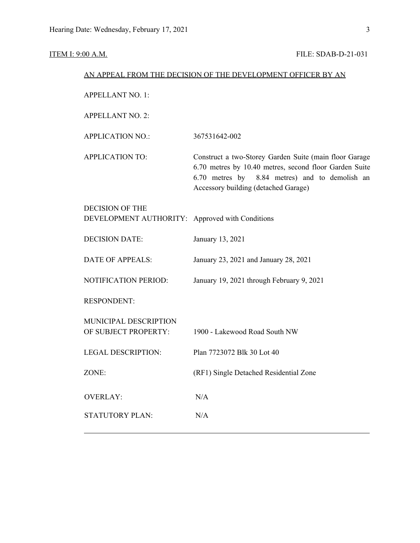```
ITEM I: 9:00 A.M. FILE: SDAB-D-21-031
```

| <b>APPELLANT NO. 1:</b><br><b>APPELLANT NO. 2:</b><br><b>APPLICATION NO.:</b><br>367531642-002<br><b>APPLICATION TO:</b><br>Accessory building (detached Garage)<br><b>DECISION OF THE</b><br>DEVELOPMENT AUTHORITY: Approved with Conditions<br><b>DECISION DATE:</b><br>January 13, 2021<br><b>DATE OF APPEALS:</b><br>January 23, 2021 and January 28, 2021<br>NOTIFICATION PERIOD:<br>January 19, 2021 through February 9, 2021<br><b>RESPONDENT:</b><br>MUNICIPAL DESCRIPTION<br>OF SUBJECT PROPERTY:<br>1900 - Lakewood Road South NW<br>Plan 7723072 Blk 30 Lot 40<br><b>LEGAL DESCRIPTION:</b> |       | AN APPEAL FROM THE DECISION OF THE DEVELOPMENT OFFICER BY AN                                                                                                       |
|--------------------------------------------------------------------------------------------------------------------------------------------------------------------------------------------------------------------------------------------------------------------------------------------------------------------------------------------------------------------------------------------------------------------------------------------------------------------------------------------------------------------------------------------------------------------------------------------------------|-------|--------------------------------------------------------------------------------------------------------------------------------------------------------------------|
|                                                                                                                                                                                                                                                                                                                                                                                                                                                                                                                                                                                                        |       |                                                                                                                                                                    |
|                                                                                                                                                                                                                                                                                                                                                                                                                                                                                                                                                                                                        |       |                                                                                                                                                                    |
|                                                                                                                                                                                                                                                                                                                                                                                                                                                                                                                                                                                                        |       |                                                                                                                                                                    |
|                                                                                                                                                                                                                                                                                                                                                                                                                                                                                                                                                                                                        |       | Construct a two-Storey Garden Suite (main floor Garage<br>6.70 metres by 10.40 metres, second floor Garden Suite<br>6.70 metres by 8.84 metres) and to demolish an |
|                                                                                                                                                                                                                                                                                                                                                                                                                                                                                                                                                                                                        |       |                                                                                                                                                                    |
|                                                                                                                                                                                                                                                                                                                                                                                                                                                                                                                                                                                                        |       |                                                                                                                                                                    |
|                                                                                                                                                                                                                                                                                                                                                                                                                                                                                                                                                                                                        |       |                                                                                                                                                                    |
|                                                                                                                                                                                                                                                                                                                                                                                                                                                                                                                                                                                                        |       |                                                                                                                                                                    |
|                                                                                                                                                                                                                                                                                                                                                                                                                                                                                                                                                                                                        |       |                                                                                                                                                                    |
|                                                                                                                                                                                                                                                                                                                                                                                                                                                                                                                                                                                                        |       |                                                                                                                                                                    |
|                                                                                                                                                                                                                                                                                                                                                                                                                                                                                                                                                                                                        |       |                                                                                                                                                                    |
|                                                                                                                                                                                                                                                                                                                                                                                                                                                                                                                                                                                                        | ZONE: | (RF1) Single Detached Residential Zone                                                                                                                             |
| <b>OVERLAY:</b><br>N/A                                                                                                                                                                                                                                                                                                                                                                                                                                                                                                                                                                                 |       |                                                                                                                                                                    |
| <b>STATUTORY PLAN:</b><br>N/A                                                                                                                                                                                                                                                                                                                                                                                                                                                                                                                                                                          |       |                                                                                                                                                                    |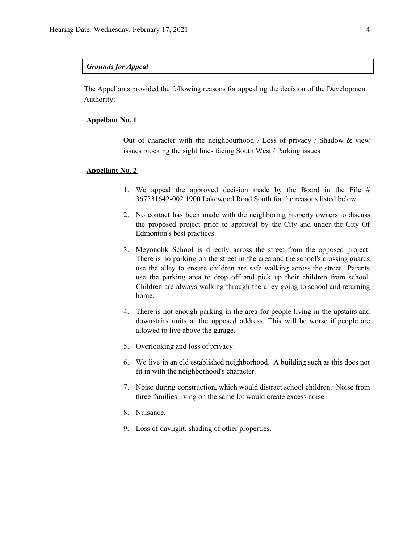### *Grounds for Appeal*

The Appellants provided the following reasons for appealing the decision of the Development Authority:

### **Appellant No. 1**

Out of character with the neighbourhood / Loss of privacy / Shadow  $\&$  view issues blocking the sight lines facing South West / Parking issues

#### **Appellant No. 2**

- 1. We appeal the approved decision made by the Board in the File # 367531642-002 1900 Lakewood Road South for the reasons listed below.
- 2. No contact has been made with the neighboring property owners to discuss the proposed project prior to approval by the City and under the City Of Edmonton's best practices.
- 3. Meyonohk School is directly across the street from the opposed project. There is no parking on the street in the area and the school's crossing guards use the alley to ensure children are safe walking across the street. Parents use the parking area to drop off and pick up their children from school. Children are always walking through the alley going to school and returning home.
- 4. There is not enough parking in the area for people living in the upstairs and downstairs units at the opposed address. This will be worse if people are allowed to live above the garage.
- 5. Overlooking and loss of privacy.
- 6. We live in an old established neighborhood. A building such as this does not fit in with the neighborhood's character.
- 7. Noise during construction, which would distract school children. Noise from three families living on the same lot would create excess noise.
- 8. Nuisance.
- 9. Loss of daylight, shading of other properties.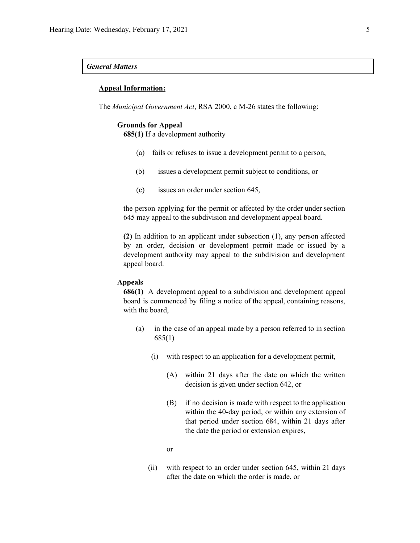### *General Matters*

### **Appeal Information:**

The *Municipal Government Act*, RSA 2000, c M-26 states the following:

#### **Grounds for Appeal**

**685(1)** If a development authority

- (a) fails or refuses to issue a development permit to a person,
- (b) issues a development permit subject to conditions, or
- (c) issues an order under section 645,

the person applying for the permit or affected by the order under section 645 may appeal to the subdivision and development appeal board.

**(2)** In addition to an applicant under subsection (1), any person affected by an order, decision or development permit made or issued by a development authority may appeal to the subdivision and development appeal board.

#### **Appeals**

**686(1)** A development appeal to a subdivision and development appeal board is commenced by filing a notice of the appeal, containing reasons, with the board,

- (a) in the case of an appeal made by a person referred to in section 685(1)
	- (i) with respect to an application for a development permit,
		- (A) within 21 days after the date on which the written decision is given under section 642, or
		- (B) if no decision is made with respect to the application within the 40-day period, or within any extension of that period under section 684, within 21 days after the date the period or extension expires,
		- or
	- (ii) with respect to an order under section 645, within 21 days after the date on which the order is made, or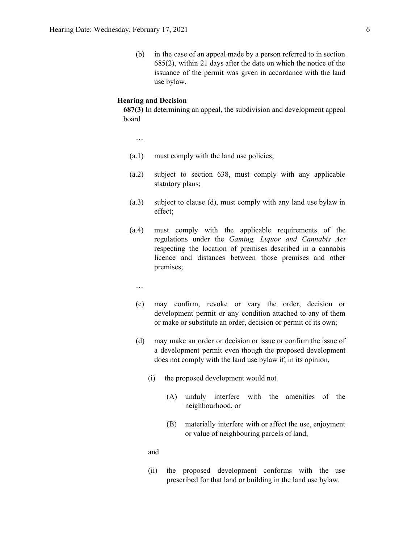(b) in the case of an appeal made by a person referred to in section 685(2), within 21 days after the date on which the notice of the issuance of the permit was given in accordance with the land use bylaw.

#### **Hearing and Decision**

**687(3)** In determining an appeal, the subdivision and development appeal board

…

- (a.1) must comply with the land use policies;
- (a.2) subject to section 638, must comply with any applicable statutory plans;
- (a.3) subject to clause (d), must comply with any land use bylaw in effect;
- (a.4) must comply with the applicable requirements of the regulations under the *Gaming, Liquor and Cannabis Act* respecting the location of premises described in a cannabis licence and distances between those premises and other premises;
	- …
	- (c) may confirm, revoke or vary the order, decision or development permit or any condition attached to any of them or make or substitute an order, decision or permit of its own;
	- (d) may make an order or decision or issue or confirm the issue of a development permit even though the proposed development does not comply with the land use bylaw if, in its opinion,
		- (i) the proposed development would not
			- (A) unduly interfere with the amenities of the neighbourhood, or
			- (B) materially interfere with or affect the use, enjoyment or value of neighbouring parcels of land,

and

(ii) the proposed development conforms with the use prescribed for that land or building in the land use bylaw.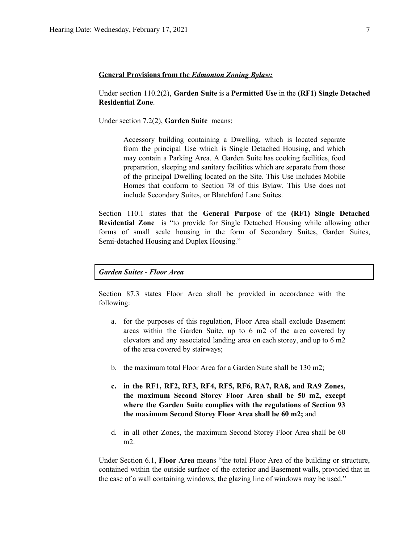#### **General Provisions from the** *Edmonton Zoning Bylaw:*

Under section 110.2(2), **Garden Suite** is a **Permitted Use** in the **(RF1) Single Detached Residential Zone**.

Under section 7.2(2), **Garden Suite** means:

Accessory building containing a Dwelling, which is located separate from the principal Use which is Single Detached Housing, and which may contain a Parking Area. A Garden Suite has cooking facilities, food preparation, sleeping and sanitary facilities which are separate from those of the principal Dwelling located on the Site. This Use includes Mobile Homes that conform to Section 78 of this Bylaw. This Use does not include Secondary Suites, or Blatchford Lane Suites.

Section 110.1 states that the **General Purpose** of the **(RF1) Single Detached Residential Zone** is "to provide for Single Detached Housing while allowing other forms of small scale housing in the form of Secondary Suites, Garden Suites, Semi-detached Housing and Duplex Housing."

*Garden Suites - Floor Area*

Section 87.3 states Floor Area shall be provided in accordance with the following:

- a. for the purposes of this regulation, Floor Area shall exclude Basement areas within the Garden Suite, up to 6 m2 of the area covered by elevators and any associated landing area on each storey, and up to 6 m2 of the area covered by stairways;
- b. the maximum total Floor Area for a Garden Suite shall be 130 m2;
- **c. in the RF1, RF2, RF3, RF4, RF5, RF6, RA7, RA8, and RA9 Zones, the maximum Second Storey Floor Area shall be 50 m2, except where the Garden Suite complies with the regulations of Section 93 the maximum Second Storey Floor Area shall be 60 m2;** and
- d. in all other Zones, the maximum Second Storey Floor Area shall be 60 m2.

Under Section 6.1, **Floor Area** means "the total Floor Area of the building or structure, contained within the outside surface of the exterior and Basement walls, provided that in the case of a wall containing windows, the glazing line of windows may be used."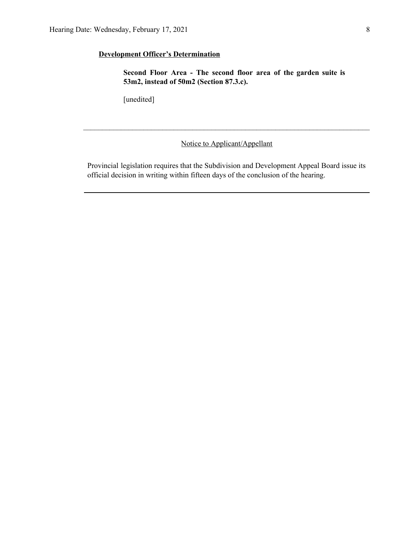## **Development Officer's Determination**

**Second Floor Area - The second floor area of the garden suite is 53m2, instead of 50m2 (Section 87.3.c).**

[unedited]

Notice to Applicant/Appellant

 $\mathcal{L}_\mathcal{L} = \{ \mathcal{L}_\mathcal{L} = \{ \mathcal{L}_\mathcal{L} = \{ \mathcal{L}_\mathcal{L} = \{ \mathcal{L}_\mathcal{L} = \{ \mathcal{L}_\mathcal{L} = \{ \mathcal{L}_\mathcal{L} = \{ \mathcal{L}_\mathcal{L} = \{ \mathcal{L}_\mathcal{L} = \{ \mathcal{L}_\mathcal{L} = \{ \mathcal{L}_\mathcal{L} = \{ \mathcal{L}_\mathcal{L} = \{ \mathcal{L}_\mathcal{L} = \{ \mathcal{L}_\mathcal{L} = \{ \mathcal{L}_\mathcal{$ 

Provincial legislation requires that the Subdivision and Development Appeal Board issue its official decision in writing within fifteen days of the conclusion of the hearing.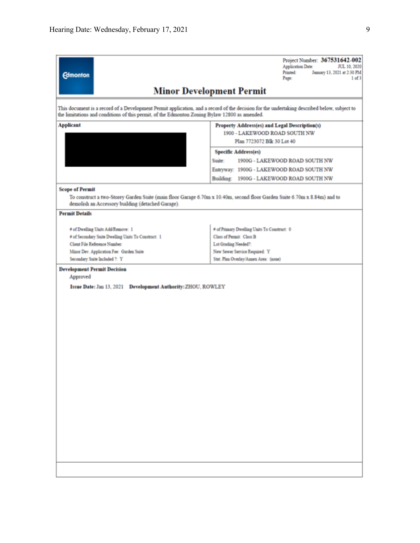| <b>Edmonton</b>                                                                                                                                                                                                                              | Project Number: 367531642-002<br><b>Application Date:</b><br>JUL 10, 2020<br>Printed:<br>January 13, 2021 at 2:30 PM<br>Page:<br>$1$ of $3$ |  |  |  |  |  |  |
|----------------------------------------------------------------------------------------------------------------------------------------------------------------------------------------------------------------------------------------------|---------------------------------------------------------------------------------------------------------------------------------------------|--|--|--|--|--|--|
|                                                                                                                                                                                                                                              | <b>Minor Development Permit</b>                                                                                                             |  |  |  |  |  |  |
| This document is a record of a Development Permit application, and a record of the decision for the undertaking described below, subject to<br>the limitations and conditions of this permit, of the Edmonton Zoning Bylaw 12800 as amended. |                                                                                                                                             |  |  |  |  |  |  |
| <b>Applicant</b>                                                                                                                                                                                                                             | Property Address(es) and Legal Description(s)                                                                                               |  |  |  |  |  |  |
|                                                                                                                                                                                                                                              | 1900 - LAKEWOOD ROAD SOUTH NW<br>Plan 7723072 Blk 30 Lot 40                                                                                 |  |  |  |  |  |  |
|                                                                                                                                                                                                                                              | <b>Specific Address(es)</b>                                                                                                                 |  |  |  |  |  |  |
|                                                                                                                                                                                                                                              | Suite:<br>1900G - LAKEWOOD ROAD SOUTH NW                                                                                                    |  |  |  |  |  |  |
|                                                                                                                                                                                                                                              | Entryway: 1900G - LAKEWOOD ROAD SOUTH NW                                                                                                    |  |  |  |  |  |  |
|                                                                                                                                                                                                                                              | Building: 1900G - LAKEWOOD ROAD SOUTH NW                                                                                                    |  |  |  |  |  |  |
| <b>Scope of Permit</b>                                                                                                                                                                                                                       |                                                                                                                                             |  |  |  |  |  |  |
| To construct a two-Storey Garden Suite (main floor Garage 6.70m x 10.40m, second floor Garden Suite 6.70m x 8.84m) and to<br>demolish an Accessory building (detached Garage).                                                               |                                                                                                                                             |  |  |  |  |  |  |
| <b>Permit Details</b>                                                                                                                                                                                                                        |                                                                                                                                             |  |  |  |  |  |  |
| # of Dwelling Units Add/Remove: 1                                                                                                                                                                                                            | # of Primary Dwelling Units To Construct: 0                                                                                                 |  |  |  |  |  |  |
| # of Secondary Suite Dwelling Units To Construct: 1                                                                                                                                                                                          | Class of Permit: Class B                                                                                                                    |  |  |  |  |  |  |
| Client File Reference Number:                                                                                                                                                                                                                | Lot Grading Needed?:                                                                                                                        |  |  |  |  |  |  |
| Minor Dev. Application Fee: Garden Suite<br>Secondary Suite Included ?: Y                                                                                                                                                                    | New Sewer Service Required: Y<br>Stat. Plan Overlay/Annex Area: (none)                                                                      |  |  |  |  |  |  |
|                                                                                                                                                                                                                                              |                                                                                                                                             |  |  |  |  |  |  |
| <b>Development Permit Decision</b><br>Approved                                                                                                                                                                                               |                                                                                                                                             |  |  |  |  |  |  |
| Issue Date: Jan 13, 2021 Development Authority: ZHOU, ROWLEY                                                                                                                                                                                 |                                                                                                                                             |  |  |  |  |  |  |
|                                                                                                                                                                                                                                              |                                                                                                                                             |  |  |  |  |  |  |
|                                                                                                                                                                                                                                              |                                                                                                                                             |  |  |  |  |  |  |
|                                                                                                                                                                                                                                              |                                                                                                                                             |  |  |  |  |  |  |
|                                                                                                                                                                                                                                              |                                                                                                                                             |  |  |  |  |  |  |
|                                                                                                                                                                                                                                              |                                                                                                                                             |  |  |  |  |  |  |
|                                                                                                                                                                                                                                              |                                                                                                                                             |  |  |  |  |  |  |
|                                                                                                                                                                                                                                              |                                                                                                                                             |  |  |  |  |  |  |
|                                                                                                                                                                                                                                              |                                                                                                                                             |  |  |  |  |  |  |
|                                                                                                                                                                                                                                              |                                                                                                                                             |  |  |  |  |  |  |
|                                                                                                                                                                                                                                              |                                                                                                                                             |  |  |  |  |  |  |
|                                                                                                                                                                                                                                              |                                                                                                                                             |  |  |  |  |  |  |
|                                                                                                                                                                                                                                              |                                                                                                                                             |  |  |  |  |  |  |
|                                                                                                                                                                                                                                              |                                                                                                                                             |  |  |  |  |  |  |
|                                                                                                                                                                                                                                              |                                                                                                                                             |  |  |  |  |  |  |
|                                                                                                                                                                                                                                              |                                                                                                                                             |  |  |  |  |  |  |
|                                                                                                                                                                                                                                              |                                                                                                                                             |  |  |  |  |  |  |
|                                                                                                                                                                                                                                              |                                                                                                                                             |  |  |  |  |  |  |
|                                                                                                                                                                                                                                              |                                                                                                                                             |  |  |  |  |  |  |
|                                                                                                                                                                                                                                              |                                                                                                                                             |  |  |  |  |  |  |
|                                                                                                                                                                                                                                              |                                                                                                                                             |  |  |  |  |  |  |
|                                                                                                                                                                                                                                              |                                                                                                                                             |  |  |  |  |  |  |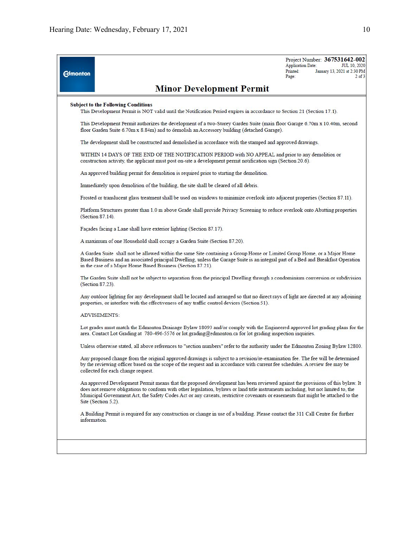| <b>Edmonton</b> | <b>Minor Development Permit</b>                                                                                                                                                                                                                                                                                                                                                                                               | Application Date:<br>Printed:<br>Page: | Project Number: 367531642-002<br><b>JUL 10, 2020</b><br>January 13, 2021 at 2:30 PM<br>$2$ of $3$ |
|-----------------|-------------------------------------------------------------------------------------------------------------------------------------------------------------------------------------------------------------------------------------------------------------------------------------------------------------------------------------------------------------------------------------------------------------------------------|----------------------------------------|---------------------------------------------------------------------------------------------------|
|                 | <b>Subject to the Following Conditions</b><br>This Development Permit is NOT valid until the Notification Period expires in accordance to Section 21 (Section 17.1).                                                                                                                                                                                                                                                          |                                        |                                                                                                   |
|                 | This Development Permit authorizes the development of a two-Storey Garden Suite (main floor Garage 6.70m x 10.40m, second<br>floor Garden Suite 6.70m x 8.84m) and to demolish an Accessory building (detached Garage).                                                                                                                                                                                                       |                                        |                                                                                                   |
|                 | The development shall be constructed and demolished in accordance with the stamped and approved drawings.                                                                                                                                                                                                                                                                                                                     |                                        |                                                                                                   |
|                 | WITHIN 14 DAYS OF THE END OF THE NOTIFICATION PERIOD with NO APPEAL and prior to any demolition or<br>construction activity, the applicant must post on-site a development permit notification sign (Section 20.6).                                                                                                                                                                                                           |                                        |                                                                                                   |
|                 | An approved building permit for demolition is required prior to starting the demolition.                                                                                                                                                                                                                                                                                                                                      |                                        |                                                                                                   |
|                 | Immediately upon demolition of the building, the site shall be cleared of all debris.                                                                                                                                                                                                                                                                                                                                         |                                        |                                                                                                   |
|                 | Frosted or translucent glass treatment shall be used on windows to minimize overlook into adjacent properties (Section 87.11).                                                                                                                                                                                                                                                                                                |                                        |                                                                                                   |
|                 | Platform Structures greater than 1.0 m above Grade shall provide Privacy Screening to reduce overlook onto Abutting properties<br>(Section 87.14).                                                                                                                                                                                                                                                                            |                                        |                                                                                                   |
|                 | Façades facing a Lane shall have exterior lighting (Section 87.17).                                                                                                                                                                                                                                                                                                                                                           |                                        |                                                                                                   |
|                 | A maximum of one Household shall occupy a Garden Suite (Section 87.20).                                                                                                                                                                                                                                                                                                                                                       |                                        |                                                                                                   |
|                 | A Garden Suite shall not be allowed within the same Site containing a Group Home or Limited Group Home, or a Major Home<br>Based Business and an associated principal Dwelling, unless the Garage Suite is an integral part of a Bed and Breakfast Operation<br>in the case of a Major Home Based Business (Section 87.21).                                                                                                   |                                        |                                                                                                   |
|                 | The Garden Suite shall not be subject to separation from the principal Dwelling through a condominium conversion or subdivision<br>(Section 87.23).                                                                                                                                                                                                                                                                           |                                        |                                                                                                   |
|                 | Any outdoor lighting for any development shall be located and arranged so that no direct rays of light are directed at any adjoining<br>properties, or interfere with the effectiveness of any traffic control devices (Section 51).                                                                                                                                                                                          |                                        |                                                                                                   |
|                 | <b>ADVISEMENTS:</b>                                                                                                                                                                                                                                                                                                                                                                                                           |                                        |                                                                                                   |
|                 | Lot grades must match the Edmonton Drainage Bylaw 18093 and/or comply with the Engineered approved lot grading plans for the<br>area. Contact Lot Grading at 780-496-5576 or lot grading@edmonton.ca for lot grading inspection inquiries.                                                                                                                                                                                    |                                        |                                                                                                   |
|                 | Unless otherwise stated, all above references to "section numbers" refer to the authority under the Edmonton Zoning Bylaw 12800.                                                                                                                                                                                                                                                                                              |                                        |                                                                                                   |
|                 | Any proposed change from the original approved drawings is subject to a revision/re-examination fee. The fee will be determined<br>by the reviewing officer based on the scope of the request and in accordance with current fee schedules. A review fee may be<br>collected for each change request.                                                                                                                         |                                        |                                                                                                   |
|                 | An approved Development Permit means that the proposed development has been reviewed against the provisions of this bylaw. It<br>does not remove obligations to conform with other legislation, bylaws or land title instruments including, but not limited to, the<br>Municipal Government Act, the Safety Codes Act or any caveats, restrictive covenants or easements that might be attached to the<br>Site (Section 5.2). |                                        |                                                                                                   |
|                 | A Building Permit is required for any construction or change in use of a building. Please contact the 311 Call Centre for further<br>information.                                                                                                                                                                                                                                                                             |                                        |                                                                                                   |
|                 |                                                                                                                                                                                                                                                                                                                                                                                                                               |                                        |                                                                                                   |
|                 |                                                                                                                                                                                                                                                                                                                                                                                                                               |                                        |                                                                                                   |
|                 |                                                                                                                                                                                                                                                                                                                                                                                                                               |                                        |                                                                                                   |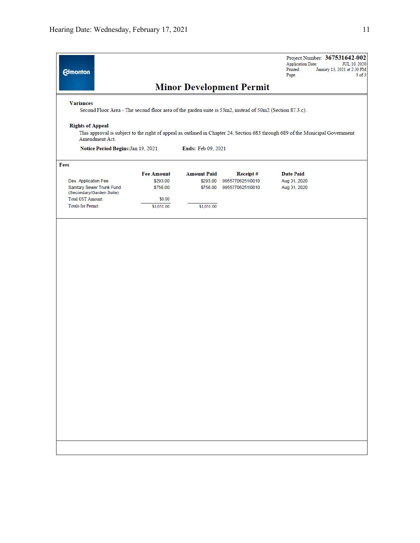| <b>Edmonton</b>                                   |                      |                      |                                                                                                          | Project Number: 367531642-002<br><b>Application Date:</b><br>Printed:<br>Page:                                                 | <b>JUL 10, 2020</b><br>January 13, 2021 at 2:30 PM<br>$3$ of $3$ |
|---------------------------------------------------|----------------------|----------------------|----------------------------------------------------------------------------------------------------------|--------------------------------------------------------------------------------------------------------------------------------|------------------------------------------------------------------|
|                                                   |                      |                      | <b>Minor Development Permit</b>                                                                          |                                                                                                                                |                                                                  |
| <b>Variances</b>                                  |                      |                      | Second Floor Area - The second floor area of the garden suite is 53m2, instead of 50m2 (Section 87.3.c). |                                                                                                                                |                                                                  |
| <b>Rights of Appeal</b><br>Amendment Act.         |                      |                      |                                                                                                          | This approval is subject to the right of appeal as outlined in Chapter 24, Section 683 through 689 of the Municipal Government |                                                                  |
| Notice Period Begins: Jan 19, 2021                |                      | Ends: Feb 09, 2021   |                                                                                                          |                                                                                                                                |                                                                  |
| Fees                                              |                      |                      |                                                                                                          |                                                                                                                                |                                                                  |
|                                                   | <b>Fee Amount</b>    | <b>Amount Paid</b>   | Receipt#                                                                                                 | <b>Date Paid</b>                                                                                                               |                                                                  |
| Dev. Application Fee<br>Sanitary Sewer Trunk Fund | \$293.00<br>\$758.00 | \$293.00<br>\$758.00 | 99557706251l0010<br>99557706251l0010                                                                     | Aug 31, 2020<br>Aug 31, 2020                                                                                                   |                                                                  |
| (Secondary/Garden Suite)                          |                      |                      |                                                                                                          |                                                                                                                                |                                                                  |
| Total GST Amount:<br><b>Totals for Permit:</b>    | \$0.00               |                      |                                                                                                          |                                                                                                                                |                                                                  |
|                                                   | \$1,051.00           | \$1,051.00           |                                                                                                          |                                                                                                                                |                                                                  |
|                                                   |                      |                      |                                                                                                          |                                                                                                                                |                                                                  |
|                                                   |                      |                      |                                                                                                          |                                                                                                                                |                                                                  |
|                                                   |                      |                      |                                                                                                          |                                                                                                                                |                                                                  |